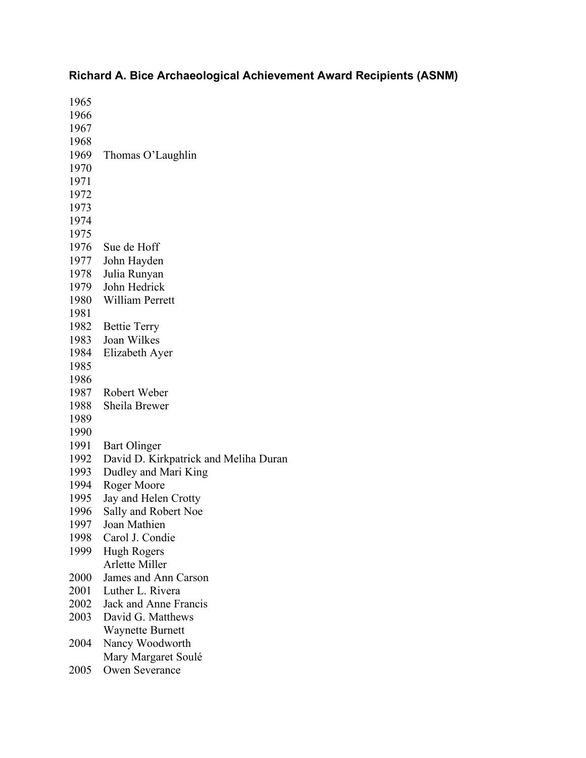## **Richard A. Bice Archaeological Achievement Award Recipients (ASNM)**

| 1965 |                                       |
|------|---------------------------------------|
| 1966 |                                       |
| 1967 |                                       |
| 1968 |                                       |
| 1969 | Thomas O'Laughlin                     |
| 1970 |                                       |
| 1971 |                                       |
| 1972 |                                       |
| 1973 |                                       |
| 1974 |                                       |
| 1975 |                                       |
| 1976 | Sue de Hoff                           |
| 1977 | John Hayden                           |
| 1978 | Julia Runyan                          |
| 1979 | John Hedrick                          |
| 1980 | <b>William Perrett</b>                |
| 1981 |                                       |
| 1982 | <b>Bettie Terry</b>                   |
| 1983 | Joan Wilkes                           |
| 1984 | Elizabeth Ayer                        |
| 1985 |                                       |
| 1986 |                                       |
| 1987 | Robert Weber                          |
| 1988 | Sheila Brewer                         |
| 1989 |                                       |
| 1990 |                                       |
| 1991 | Bart Olinger                          |
| 1992 | David D. Kirkpatrick and Meliha Duran |
| 1993 | Dudley and Mari King                  |
| 1994 | Roger Moore                           |
| 1995 | Jay and Helen Crotty                  |
| 1996 | Sally and Robert Noe                  |
| 1997 | Joan Mathien                          |
| 1998 | Carol J. Condie                       |
| 1999 | <b>Hugh Rogers</b>                    |
|      | <b>Arlette Miller</b>                 |
| 2000 | James and Ann Carson                  |
| 2001 | Luther L. Rivera                      |
| 2002 | Jack and Anne Francis                 |
| 2003 | David G. Matthews                     |
|      | Waynette Burnett                      |
| 2004 | Nancy Woodworth                       |
|      | Mary Margaret Soulé                   |
| 2005 | <b>Owen Severance</b>                 |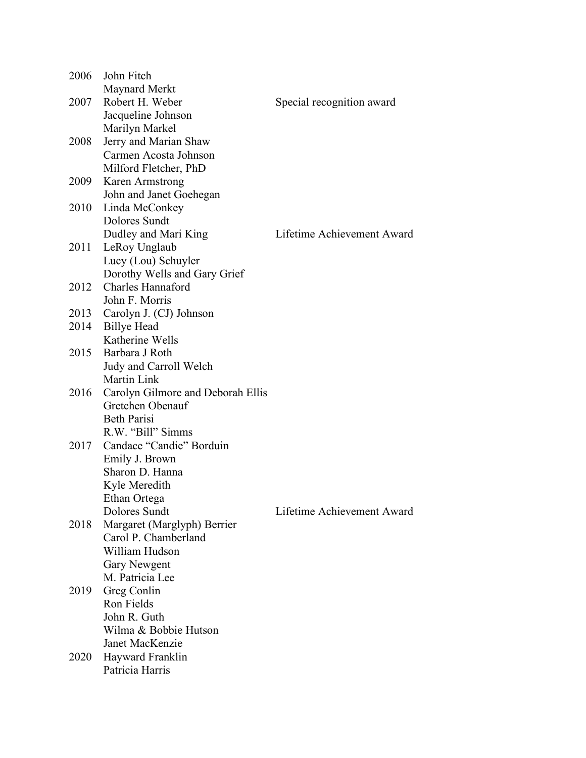| 2006 | John Fitch                          |                            |
|------|-------------------------------------|----------------------------|
|      | Maynard Merkt                       |                            |
| 2007 | Robert H. Weber                     | Special recognition award  |
|      | Jacqueline Johnson                  |                            |
|      | Marilyn Markel                      |                            |
| 2008 | Jerry and Marian Shaw               |                            |
|      | Carmen Acosta Johnson               |                            |
|      | Milford Fletcher, PhD               |                            |
|      | 2009 Karen Armstrong                |                            |
|      | John and Janet Goehegan             |                            |
|      | 2010 Linda McConkey                 |                            |
|      | Dolores Sundt                       |                            |
|      |                                     | Lifetime Achievement Award |
|      | Dudley and Mari King                |                            |
|      | 2011 LeRoy Unglaub                  |                            |
|      | Lucy (Lou) Schuyler                 |                            |
|      | Dorothy Wells and Gary Grief        |                            |
| 2012 | Charles Hannaford                   |                            |
|      | John F. Morris                      |                            |
|      | 2013 Carolyn J. (CJ) Johnson        |                            |
|      | 2014 Billye Head                    |                            |
|      | Katherine Wells                     |                            |
|      | 2015 Barbara J Roth                 |                            |
|      | Judy and Carroll Welch              |                            |
|      | Martin Link                         |                            |
| 2016 | Carolyn Gilmore and Deborah Ellis   |                            |
|      | Gretchen Obenauf                    |                            |
|      | <b>Beth Parisi</b>                  |                            |
|      | R.W. "Bill" Simms                   |                            |
| 2017 | Candace "Candie" Borduin            |                            |
|      | Emily J. Brown                      |                            |
|      | Sharon D. Hanna                     |                            |
|      | Kyle Meredith                       |                            |
|      | Ethan Ortega                        |                            |
|      | Dolores Sundt                       | Lifetime Achievement Award |
| 2018 | Margaret (Marglyph) Berrier         |                            |
|      | Carol P. Chamberland                |                            |
|      | William Hudson                      |                            |
|      | <b>Gary Newgent</b>                 |                            |
|      | M. Patricia Lee                     |                            |
| 2019 | Greg Conlin                         |                            |
|      | Ron Fields                          |                            |
|      | John R. Guth                        |                            |
|      | Wilma & Bobbie Hutson               |                            |
|      | Janet MacKenzie                     |                            |
|      |                                     |                            |
| 2020 | Hayward Franklin<br>Patricia Harris |                            |
|      |                                     |                            |